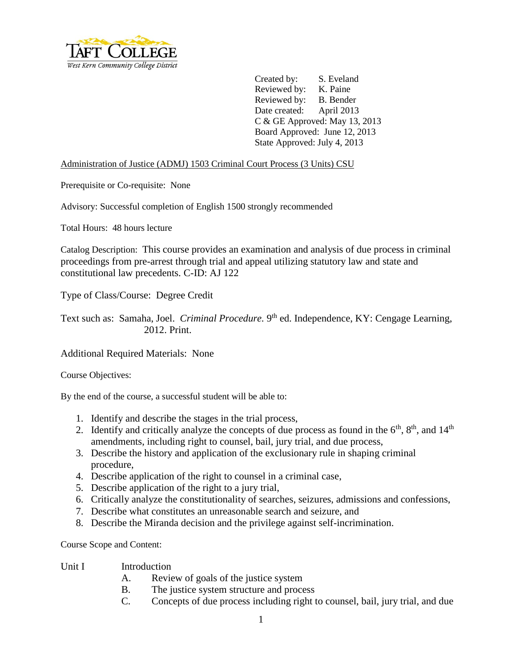

Created by: S. Eveland Reviewed by: K. Paine Reviewed by: B. Bender Date created: April 2013 C & GE Approved: May 13, 2013 Board Approved: June 12, 2013 State Approved: July 4, 2013

Administration of Justice (ADMJ) 1503 Criminal Court Process (3 Units) CSU

Prerequisite or Co-requisite: None

Advisory: Successful completion of English 1500 strongly recommended

Total Hours: 48 hours lecture

Catalog Description: This course provides an examination and analysis of due process in criminal proceedings from pre-arrest through trial and appeal utilizing statutory law and state and constitutional law precedents. C-ID: AJ 122

Type of Class/Course: Degree Credit

Text such as: Samaha, Joel. *Criminal Procedure*. 9<sup>th</sup> ed. Independence, KY: Cengage Learning, 2012. Print.

Additional Required Materials: None

Course Objectives:

By the end of the course, a successful student will be able to:

- 1. Identify and describe the stages in the trial process,
- 2. Identify and critically analyze the concepts of due process as found in the  $6<sup>th</sup>$ ,  $8<sup>th</sup>$ , and  $14<sup>th</sup>$ amendments, including right to counsel, bail, jury trial, and due process,
- 3. Describe the history and application of the exclusionary rule in shaping criminal procedure,
- 4. Describe application of the right to counsel in a criminal case,
- 5. Describe application of the right to a jury trial,
- 6. Critically analyze the constitutionality of searches, seizures, admissions and confessions,
- 7. Describe what constitutes an unreasonable search and seizure, and
- 8. Describe the Miranda decision and the privilege against self-incrimination.

Course Scope and Content:

- Unit I Introduction
	- A. Review of goals of the justice system
	- B. The justice system structure and process
	- C. Concepts of due process including right to counsel, bail, jury trial, and due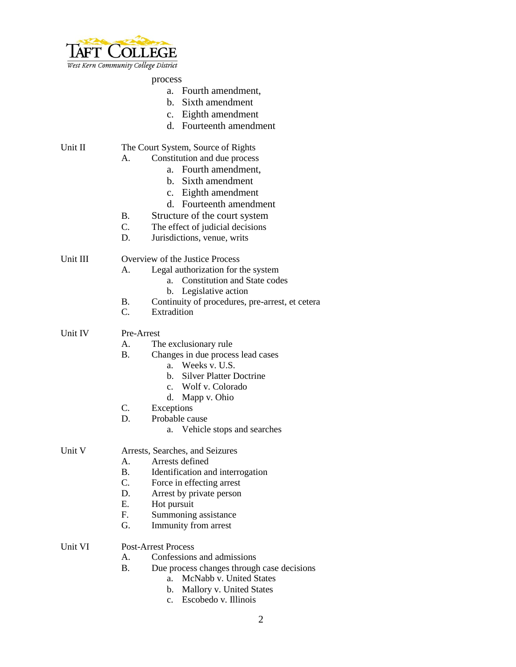

| West Kern Community College District |                                 |                                                 |  |
|--------------------------------------|---------------------------------|-------------------------------------------------|--|
|                                      |                                 | process                                         |  |
|                                      |                                 | a. Fourth amendment,                            |  |
|                                      |                                 | Sixth amendment<br>b.                           |  |
|                                      |                                 | Eighth amendment<br>$c_{\cdot}$                 |  |
|                                      |                                 | d. Fourteenth amendment                         |  |
| Unit II                              |                                 | The Court System, Source of Rights              |  |
|                                      | А.                              | Constitution and due process                    |  |
|                                      |                                 | Fourth amendment,<br>a.                         |  |
|                                      |                                 | b. Sixth amendment                              |  |
|                                      |                                 | c. Eighth amendment                             |  |
|                                      |                                 | d. Fourteenth amendment                         |  |
|                                      | <b>B.</b>                       | Structure of the court system                   |  |
|                                      | $C_{\cdot}$                     | The effect of judicial decisions                |  |
|                                      | D.                              | Jurisdictions, venue, writs                     |  |
|                                      |                                 |                                                 |  |
| Unit III                             |                                 | Overview of the Justice Process                 |  |
|                                      | А.                              | Legal authorization for the system              |  |
|                                      |                                 | <b>Constitution and State codes</b><br>a.       |  |
|                                      |                                 | b. Legislative action                           |  |
|                                      | Β.                              | Continuity of procedures, pre-arrest, et cetera |  |
|                                      | $C_{\cdot}$                     | Extradition                                     |  |
| Unit IV                              | Pre-Arrest                      |                                                 |  |
|                                      | A.                              | The exclusionary rule                           |  |
|                                      | <b>B.</b>                       | Changes in due process lead cases               |  |
|                                      |                                 | Weeks v. U.S.<br>a.                             |  |
|                                      |                                 | <b>Silver Platter Doctrine</b><br>b.            |  |
|                                      |                                 | Wolf v. Colorado<br>$c_{\cdot}$                 |  |
|                                      |                                 | d.<br>Mapp v. Ohio                              |  |
|                                      | C.                              | Exceptions                                      |  |
|                                      | D.                              | Probable cause                                  |  |
|                                      |                                 | Vehicle stops and searches<br>a.                |  |
| Unit V                               | Arrests, Searches, and Seizures |                                                 |  |
|                                      | A.                              | Arrests defined                                 |  |
|                                      | <b>B.</b>                       | Identification and interrogation                |  |
|                                      | $C_{\cdot}$                     | Force in effecting arrest                       |  |
|                                      | D.                              | Arrest by private person                        |  |
|                                      | E.                              | Hot pursuit                                     |  |
|                                      | F.                              | Summoning assistance                            |  |
|                                      | G.                              | Immunity from arrest                            |  |
| Unit VI                              | <b>Post-Arrest Process</b>      |                                                 |  |
|                                      | A.                              | Confessions and admissions                      |  |
|                                      | <b>B.</b>                       | Due process changes through case decisions      |  |
|                                      |                                 | McNabb v. United States<br>a.                   |  |
|                                      |                                 | Mallory v. United States<br>b.                  |  |
|                                      |                                 | Escobedo v. Illinois<br>$\mathbf{c}$ .          |  |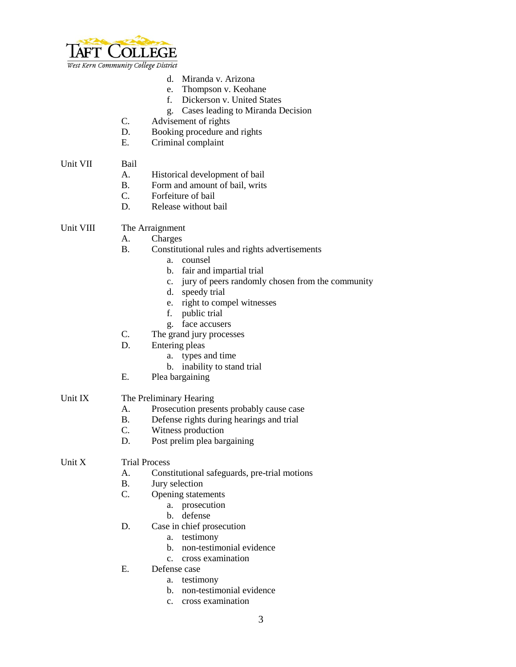

West Kern Community College District

- d. Miranda v. Arizona
- e. Thompson v. Keohane
- f. Dickerson v. United States
- g. Cases leading to Miranda Decision
- C. Advisement of rights
- D. Booking procedure and rights
- E. Criminal complaint

#### Unit VII Bail

- A. Historical development of bail
- B. Form and amount of bail, writs
- C. Forfeiture of bail
- D. Release without bail

## Unit VIII The Arraignment

- A. Charges
- B. Constitutional rules and rights advertisements
	- a. counsel
	- b. fair and impartial trial
	- c. jury of peers randomly chosen from the community
	- d. speedy trial
	- e. right to compel witnesses
	- f. public trial
	- g. face accusers
- C. The grand jury processes
- D. Entering pleas
	- a. types and time
	- b. inability to stand trial
- E. Plea bargaining

# Unit IX The Preliminary Hearing

- A. Prosecution presents probably cause case
- B. Defense rights during hearings and trial
- C. Witness production
- D. Post prelim plea bargaining

### Unit X Trial Process

- A. Constitutional safeguards, pre-trial motions
- B. Jury selection
- C. Opening statements
	- a. prosecution
	- b. defense
- D. Case in chief prosecution
	- a. testimony
	- b. non-testimonial evidence
	- c. cross examination
- E. Defense case
	- a. testimony
	- b. non-testimonial evidence
	- c. cross examination